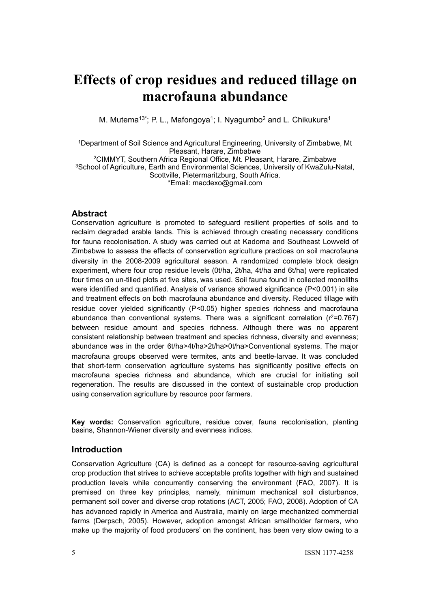# **Effects of crop residues and reduced tillage on macrofauna abundance**

M. Mutema<sup>13\*</sup>; P. L., Mafongoya<sup>1</sup>; I. Nyagumbo<sup>2</sup> and L. Chikukura<sup>1</sup>

1Department of Soil Science and Agricultural Engineering, University of Zimbabwe, Mt Pleasant, Harare, Zimbabwe 2CIMMYT, Southern Africa Regional Office, Mt. Pleasant, Harare, Zimbabwe 3School of Agriculture, Earth and Environmental Sciences, University of KwaZulu-Natal, Scottville, Pietermaritzburg, South Africa. \*Email: [macdexo@gmail.com](mailto:macdexo@gmail.com)

## **Abstract**

Conservation agriculture is promoted to safeguard resilient properties of soils and to reclaim degraded arable lands. This is achieved through creating necessary conditions for fauna recolonisation. A study was carried out at Kadoma and Southeast Lowveld of Zimbabwe to assess the effects of conservation agriculture practices on soil macrofauna diversity in the 2008-2009 agricultural season. A randomized complete block design experiment, where four crop residue levels (0t/ha, 2t/ha, 4t/ha and 6t/ha) were replicated four times on un-tilled plots at five sites, was used. Soil fauna found in collected monoliths were identified and quantified. Analysis of variance showed significance (P<0.001) in site and treatment effects on both macrofauna abundance and diversity*.* Reduced tillage with residue cover yielded significantly (P*<*0.05) higher species richness and macrofauna abundance than conventional systems. There was a significant correlation ( $r^2$ =0.767) between residue amount and species richness. Although there was no apparent consistent relationship between treatment and species richness, diversity and evenness; abundance was in the order 6t/ha>4t/ha>2t/ha>0t/ha>Conventional systems. The major macrofauna groups observed were termites, ants and beetle-larvae. It was concluded that short-term conservation agriculture systems has significantly positive effects on macrofauna species richness and abundance, which are crucial for initiating soil regeneration. The results are discussed in the context of sustainable crop production using conservation agriculture by resource poor farmers.

**Key words:** Conservation agriculture, residue cover, fauna recolonisation, planting basins, Shannon-Wiener diversity and evenness indices.

## **Introduction**

Conservation Agriculture (CA) is defined as a concept for resource-saving agricultural crop production that strives to achieve acceptable profits together with high and sustained production levels while concurrently conserving the environment (FAO, 2007). It is premised on three key principles, namely, minimum mechanical soil disturbance, permanent soil cover and diverse crop rotations (ACT, 2005; FAO, 2008). Adoption of CA has advanced rapidly in America and Australia, mainly on large mechanized commercial farms (Derpsch, 2005). However, adoption amongst African smallholder farmers, who make up the majority of food producers' on the continent, has been very slow owing to a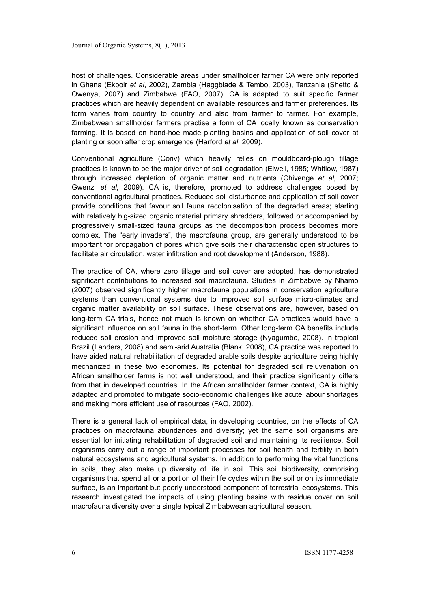host of challenges. Considerable areas under smallholder farmer CA were only reported in Ghana (Ekboir *et al*, 2002), Zambia (Haggblade & Tembo, 2003), Tanzania (Shetto & Owenya, 2007) and Zimbabwe (FAO, 2007). CA is adapted to suit specific farmer practices which are heavily dependent on available resources and farmer preferences. Its form varies from country to country and also from farmer to farmer. For example, Zimbabwean smallholder farmers practise a form of CA locally known as conservation farming. It is based on hand-hoe made planting basins and application of soil cover at planting or soon after crop emergence (Harford *et al*, 2009).

Conventional agriculture (Conv) which heavily relies on mouldboard-plough tillage practices is known to be the major driver of soil degradation (Elwell, 1985; Whitlow, 1987) through increased depletion of organic matter and nutrients (Chivenge *et al,* 2007; Gwenzi *et al,* 2009). CA is, therefore, promoted to address challenges posed by conventional agricultural practices. Reduced soil disturbance and application of soil cover provide conditions that favour soil fauna recolonisation of the degraded areas; starting with relatively big-sized organic material primary shredders, followed or accompanied by progressively small-sized fauna groups as the decomposition process becomes more complex. The "early invaders", the macrofauna group, are generally understood to be important for propagation of pores which give soils their characteristic open structures to facilitate air circulation, water infiltration and root development (Anderson, 1988).

The practice of CA, where zero tillage and soil cover are adopted, has demonstrated significant contributions to increased soil macrofauna. Studies in Zimbabwe by Nhamo (2007) observed significantly higher macrofauna populations in conservation agriculture systems than conventional systems due to improved soil surface micro-climates and organic matter availability on soil surface. These observations are, however, based on long-term CA trials, hence not much is known on whether CA practices would have a significant influence on soil fauna in the short-term. Other long-term CA benefits include reduced soil erosion and improved soil moisture storage (Nyagumbo, 2008). In tropical Brazil (Landers, 2008) and semi-arid Australia (Blank, 2008), CA practice was reported to have aided natural rehabilitation of degraded arable soils despite agriculture being highly mechanized in these two economies. Its potential for degraded soil rejuvenation on African smallholder farms is not well understood, and their practice significantly differs from that in developed countries. In the African smallholder farmer context, CA is highly adapted and promoted to mitigate socio-economic challenges like acute labour shortages and making more efficient use of resources (FAO, 2002).

There is a general lack of empirical data, in developing countries, on the effects of CA practices on macrofauna abundances and diversity; yet the same soil organisms are essential for initiating rehabilitation of degraded soil and maintaining its resilience. Soil organisms carry out a range of important processes for soil health and fertility in both natural ecosystems and agricultural systems. In addition to performing the vital functions in soils, they also make up diversity of life in soil. This soil biodiversity, comprising organisms that spend all or a portion of their life cycles within the soil or on its immediate surface, is an important but poorly understood component of terrestrial ecosystems. This research investigated the impacts of using planting basins with residue cover on soil macrofauna diversity over a single typical Zimbabwean agricultural season.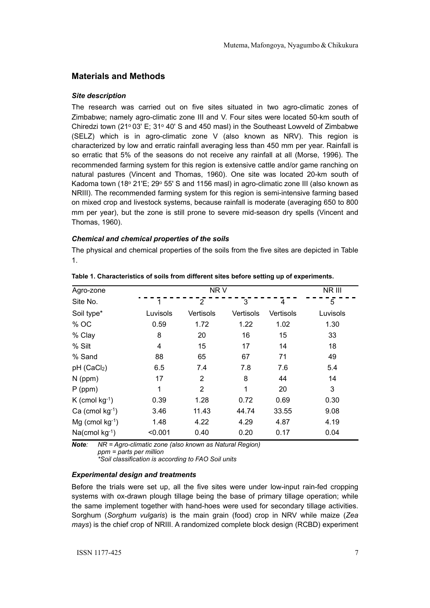## **Materials and Methods**

### *Site description*

The research was carried out on five sites situated in two agro-climatic zones of Zimbabwe; namely agro-climatic zone III and V. Four sites were located 50-km south of Chiredzi town (21 $\degree$  03' E; 31 $\degree$  40' S and 450 masl) in the Southeast Lowveld of Zimbabwe (SELZ) which is in agro-climatic zone V (also known as NRV). This region is characterized by low and erratic rainfall averaging less than 450 mm per year. Rainfall is so erratic that 5% of the seasons do not receive any rainfall at all (Morse, 1996). The recommended farming system for this region is extensive cattle and/or game ranching on natural pastures (Vincent and Thomas, 1960). One site was located 20-km south of Kadoma town (18º 21'E; 29º 55' S and 1156 masl) in agro-climatic zone III (also known as NRIII). The recommended farming system for this region is semi-intensive farming based on mixed crop and livestock systems, because rainfall is moderate (averaging 650 to 800 mm per year), but the zone is still prone to severe mid-season dry spells (Vincent and Thomas, 1960).

### *Chemical and chemical properties of the soils*

The physical and chemical properties of the soils from the five sites are depicted in Table 1.

| Agro-zone               |          | NR V           |           |           |          |  |
|-------------------------|----------|----------------|-----------|-----------|----------|--|
| Site No.                |          | 2              | 3         | 4         | 5        |  |
| Soil type*              | Luvisols | Vertisols      | Vertisols | Vertisols | Luvisols |  |
| % OC                    | 0.59     | 1.72           | 1.22      | 1.02      | 1.30     |  |
| % Clay                  | 8        | 20             | 16        | 15        | 33       |  |
| % Silt                  | 4        | 15             | 17        | 14        | 18       |  |
| % Sand                  | 88       | 65             | 67        | 71        | 49       |  |
| pH (CaCl <sub>2</sub> ) | 6.5      | 7.4            | 7.8       | 7.6       | 5.4      |  |
| $N$ (ppm)               | 17       | 2              | 8         | 44        | 14       |  |
| $P$ (ppm)               | 1        | $\overline{2}$ | 1         | 20        | 3        |  |
| K (cmol $kg^{-1}$ )     | 0.39     | 1.28           | 0.72      | 0.69      | 0.30     |  |
| Ca (cmol $kg^{-1}$ )    | 3.46     | 11.43          | 44.74     | 33.55     | 9.08     |  |
| $Mg$ (cmol kg-1)        | 1.48     | 4.22           | 4.29      | 4.87      | 4.19     |  |
| $Na$ (cmol kg $^{-1}$ ) | < 0.001  | 0.40           | 0.20      | 0.17      | 0.04     |  |

*Note: NR = Agro-climatic zone (also known as Natural Region) ppm = parts per million*

*\*Soil classification is according to FAO Soil units*

## *Experimental design and treatments*

Before the trials were set up, all the five sites were under low-input rain-fed cropping systems with ox-drawn plough tillage being the base of primary tillage operation; while the same implement together with hand-hoes were used for secondary tillage activities. Sorghum (*Sorghum vulgaris*) is the main grain (food) crop in NRV while maize (*Zea mays*) is the chief crop of NRIII. A randomized complete block design (RCBD) experiment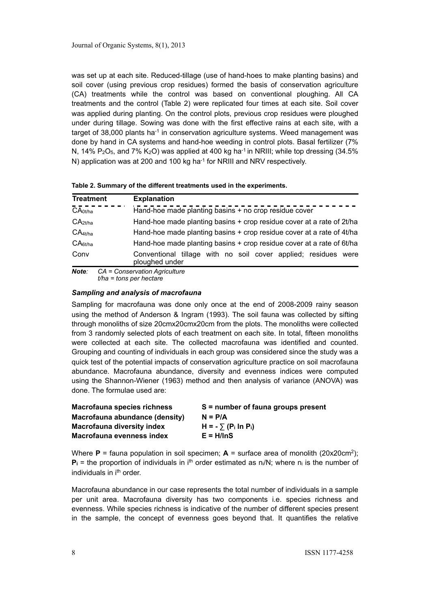was set up at each site. Reduced-tillage (use of hand-hoes to make planting basins) and soil cover (using previous crop residues) formed the basis of conservation agriculture (CA) treatments while the control was based on conventional ploughing. All CA treatments and the control (Table 2) were replicated four times at each site. Soil cover was applied during planting. On the control plots, previous crop residues were ploughed under during tillage. Sowing was done with the first effective rains at each site, with a target of  $38,000$  plants ha<sup>-1</sup> in conservation agriculture systems. Weed management was done by hand in CA systems and hand-hoe weeding in control plots. Basal fertilizer (7% N, 14% P<sub>2</sub>O<sub>5</sub>, and 7% K<sub>2</sub>O) was applied at 400 kg ha<sup>-1</sup> in NRIII; while top dressing (34.5%) N) application was at 200 and 100 kg ha<sup>-1</sup> for NRIII and NRV respectively.

| <b>Treatment</b>    | <b>Explanation</b>                                                               |
|---------------------|----------------------------------------------------------------------------------|
| CA <sub>0t/ha</sub> | Hand-hoe made planting basins + no crop residue cover                            |
| CA <sub>2t/ha</sub> | Hand-hoe made planting basins + crop residue cover at a rate of 2t/ha            |
| $CA_{4t/ha}$        | Hand-hoe made planting basins + crop residue cover at a rate of 4t/ha            |
| CA <sub>6t/ha</sub> | Hand-hoe made planting basins + crop residue cover at a rate of 6t/ha            |
| Conv                | Conventional tillage with no soil cover applied; residues were<br>ploughed under |
| Note:               | CA = Conservation Agriculture                                                    |

|  | Table 2. Summary of the different treatments used in the experiments. |
|--|-----------------------------------------------------------------------|
|--|-----------------------------------------------------------------------|

*t/ha = tons per hectare*

### *Sampling and analysis of macrofauna*

Sampling for macrofauna was done only once at the end of 2008-2009 rainy season using the method of Anderson & Ingram (1993). The soil fauna was collected by sifting through monoliths of size 20cmx20cmx20cm from the plots. The monoliths were collected from 3 randomly selected plots of each treatment on each site. In total, fifteen monoliths were collected at each site. The collected macrofauna was identified and counted. Grouping and counting of individuals in each group was considered since the study was a quick test of the potential impacts of conservation agriculture practice on soil macrofauna abundance. Macrofauna abundance, diversity and evenness indices were computed using the Shannon-Wiener (1963) method and then analysis of variance (ANOVA) was done. The formulae used are:

| Macrofauna species richness    | $S =$ number of fauna groups present |
|--------------------------------|--------------------------------------|
| Macrofauna abundance (density) | $N = P/A$                            |
| Macrofauna diversity index     | $H = -\sum (P_i \ln P_i)$            |
| Macrofauna evenness index      | $E = H/lnS$                          |

Where  $P =$  fauna population in soil specimen;  $A =$  surface area of monolith (20x20cm<sup>2</sup>);  $P_i$  = the proportion of individuals in i<sup>th</sup> order estimated as  $n_i/N$ ; where  $n_i$  is the number of individuals in i<sup>th</sup> order.

Macrofauna abundance in our case represents the total number of individuals in a sample per unit area. Macrofauna diversity has two components i.e. species richness and evenness. While species richness is indicative of the number of different species present in the sample, the concept of evenness goes beyond that. It quantifies the relative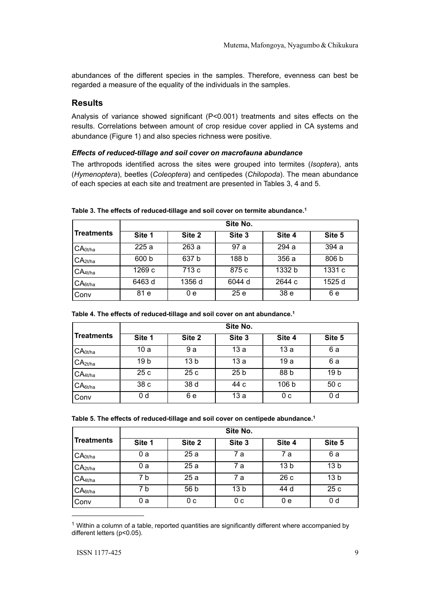abundances of the different species in the samples. Therefore, evenness can best be regarded a measure of the equality of the individuals in the samples.

## **Results**

Analysis of variance showed significant (P<0.001) treatments and sites effects on the results. Correlations between amount of crop residue cover applied in CA systems and abundance (Figure 1) and also species richness were positive.

### *Effects of reduced-tillage and soil cover on macrofauna abundance*

The arthropods identified across the sites were grouped into termites (*Isoptera*), ants (*Hymenoptera*), beetles (*Coleoptera*) and centipedes (*Chilopoda*). The mean abundance of each species at each site and treatment are presented in Tables 3, 4 and 5.

|                       | Site No. |        |        |                 |        |  |
|-----------------------|----------|--------|--------|-----------------|--------|--|
| <b>Treatments</b>     | Site 1   | Site 2 | Site 3 | Site 4          | Site 5 |  |
| I CA <sub>0t/ha</sub> | 225a     | 263 a  | 97 a   | 294 a           | 394 a  |  |
| CA <sub>2t/ha</sub>   | 600 b    | 637 b  | 188 b  | 356 a           | 806 b  |  |
| $CA_{4t/ha}$          | 1269 c   | 713 c  | 875 c  | 1332 b          | 1331 c |  |
| CA <sub>6t/ha</sub>   | 6463 d   | 1356 d | 6044 d | 2644 c          | 1525 d |  |
| <b>Conv</b>           | 81 e     | 0е     | 25e    | 38 <sub>e</sub> | 6 e    |  |

**Table 3. The effects of reduced-tillage and soil cover on termite abundance[.1](#page-4-0)**

|                     | Site No.        |                 |                 |                  |                 |
|---------------------|-----------------|-----------------|-----------------|------------------|-----------------|
| <b>Treatments</b>   | Site 1          | Site 2          | Site 3          | Site 4           | Site 5          |
| CA <sub>0t/ha</sub> | 10a             | 9 a             | 13a             | 13 a             | 6 a             |
| CA <sub>2t/ha</sub> | 19 <sub>b</sub> | 13 <sub>b</sub> | 13a             | 19 a             | 6 a             |
| $CA_{4t/ha}$        | 25c             | 25c             | 25 <sub>b</sub> | 88 b             | 19 <sub>b</sub> |
| CA <sub>6t/ha</sub> | 38 <sub>c</sub> | 38 d            | 44 c            | 106 <sub>b</sub> | 50c             |
| Conv                | 0 <sub>d</sub>  | 6 e             | 13a             | 0 c              | 0 <sub>d</sub>  |

| Table 4. The effects of reduced-tillage and soil cover on ant abundance. <sup>1</sup> |  |  |  |
|---------------------------------------------------------------------------------------|--|--|--|
|---------------------------------------------------------------------------------------|--|--|--|

|                     | Site No. |        |                 |                 |                 |
|---------------------|----------|--------|-----------------|-----------------|-----------------|
| <b>Treatments</b>   | Site 1   | Site 2 | Site 3          | Site 4          | Site 5          |
| CA <sub>0t/ha</sub> | 0 a      | 25a    | 7 а             | 7 a             | 6a              |
| CA <sub>2t/ha</sub> | 0 a      | 25a    | 7 а             | 13 <sub>b</sub> | 13 <sub>b</sub> |
| CA <sub>4t/ha</sub> | 7 b      | 25a    | 7 а             | 26 c            | 13 <sub>b</sub> |
| CA <sub>6t/ha</sub> | 7 b      | 56 b   | 13 <sub>b</sub> | 44 d            | 25 c            |
| Conv                | 0 a      | 0 c    | 0 c             | 0 e             | 0 <sub>d</sub>  |

<span id="page-4-0"></span><sup>1</sup> Within a column of a table, reported quantities are significantly different where accompanied by different letters (p<0.05).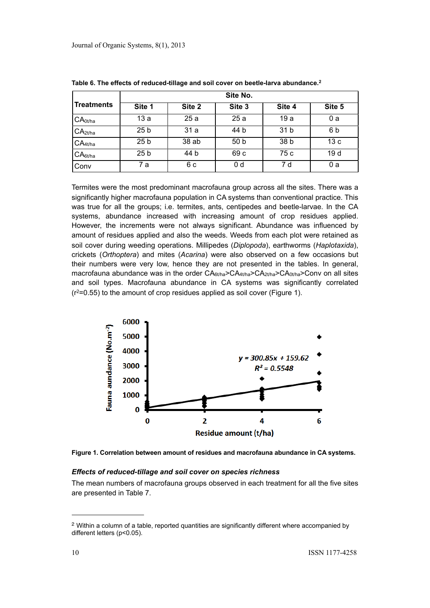|                     | Site No.        |        |        |                 |        |
|---------------------|-----------------|--------|--------|-----------------|--------|
| <b>Treatments</b>   | Site 1          | Site 2 | Site 3 | Site 4          | Site 5 |
| CA <sub>0t/ha</sub> | 13a             | 25a    | 25a    | 19 a            | 0 a    |
| CA <sub>2t/ha</sub> | 25 <sub>b</sub> | 31 a   | 44 b   | 31 <sub>b</sub> | 6b     |
| $CA_{4t/ha}$        | 25 <sub>b</sub> | 38 ab  | 50 b   | 38 <sub>b</sub> | 13c    |
| CA <sub>6t/ha</sub> | 25 <sub>b</sub> | 44 b   | 69 c   | 75 c            | 19d    |
| Conv                | 7 a             | 6 c    | 0 d    | 7 d             | 0 a    |

**Table 6. The effects of reduced-tillage and soil cover on beetle-larva abundance[.2](#page-5-0)**

Termites were the most predominant macrofauna group across all the sites. There was a significantly higher macrofauna population in CA systems than conventional practice. This was true for all the groups; i.e. termites, ants, centipedes and beetle-larvae. In the CA systems, abundance increased with increasing amount of crop residues applied. However, the increments were not always significant. Abundance was influenced by amount of residues applied and also the weeds. Weeds from each plot were retained as soil cover during weeding operations. Millipedes (*Diplopoda*), earthworms (*Haplotaxida*), crickets (*Orthoptera*) and mites (*Acarina*) were also observed on a few occasions but their numbers were very low, hence they are not presented in the tables. In general, macrofauna abundance was in the order  $C A_{6t/na} > C A_{4t/na} > C A_{0t/na} > C$  on all sites and soil types. Macrofauna abundance in CA systems was significantly correlated  $(r^2=0.55)$  to the amount of crop residues applied as soil cover (Figure 1).



**Figure 1. Correlation between amount of residues and macrofauna abundance in CA systems.**

#### *Effects of reduced-tillage and soil cover on species richness*

The mean numbers of macrofauna groups observed in each treatment for all the five sites are presented in Table 7.

<span id="page-5-0"></span><sup>2</sup> Within a column of a table, reported quantities are significantly different where accompanied by different letters (p<0.05).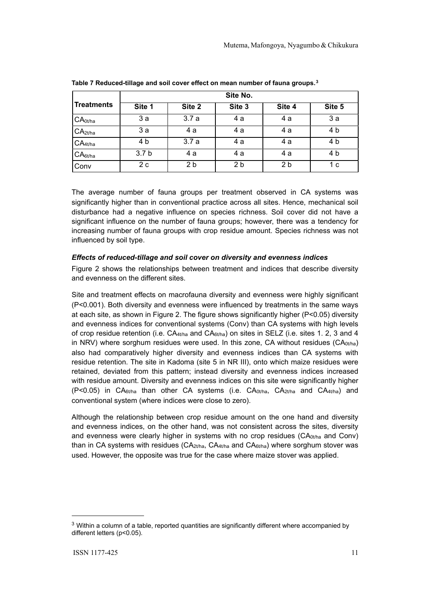|                                | Site No.         |                |                |                |        |
|--------------------------------|------------------|----------------|----------------|----------------|--------|
| <b>Treatments</b>              | Site 1           | Site 2         | Site 3         | Site 4         | Site 5 |
| CA <sub>0t/ha</sub>            | 3a               | 3.7a           | 4 a            | 4 a            | 3a     |
| CA <sub>2t/ha</sub>            | 3a               | 4 a            | 4 a            | 4 a            | 4 b    |
| CA <sub>4</sub> <sub>tha</sub> | 4 b              | 3.7a           | 4 a            | 4 a            | 4 b    |
| CA <sub>6t/ha</sub>            | 3.7 <sub>b</sub> | 4 a            | 4 a            | 4 a            | 4 b    |
| Conv                           | 2c               | 2 <sub>b</sub> | 2 <sub>b</sub> | 2 <sub>b</sub> | 1 c    |

**Table 7 Reduced-tillage and soil cover effect on mean number of fauna groups.[3](#page-6-0)**

The average number of fauna groups per treatment observed in CA systems was significantly higher than in conventional practice across all sites. Hence, mechanical soil disturbance had a negative influence on species richness. Soil cover did not have a significant influence on the number of fauna groups; however, there was a tendency for increasing number of fauna groups with crop residue amount. Species richness was not influenced by soil type.

### *Effects of reduced-tillage and soil cover on diversity and evenness indices*

Figure 2 shows the relationships between treatment and indices that describe diversity and evenness on the different sites.

Site and treatment effects on macrofauna diversity and evenness were highly significant (P<0.001). Both diversity and evenness were influenced by treatments in the same ways at each site, as shown in Figure 2. The figure shows significantly higher (P<0.05) diversity and evenness indices for conventional systems (Conv) than CA systems with high levels of crop residue retention (i.e.  $CA_{4t/ha}$  and  $CA_{6t/ha}$ ) on sites in SELZ (i.e. sites 1. 2, 3 and 4 in NRV) where sorghum residues were used. In this zone, CA without residues (CA<sub>0t/ha</sub>) also had comparatively higher diversity and evenness indices than CA systems with residue retention. The site in Kadoma (site 5 in NR III), onto which maize residues were retained, deviated from this pattern; instead diversity and evenness indices increased with residue amount. Diversity and evenness indices on this site were significantly higher (P<0.05) in  $CA_{6t/na}$  than other CA systems (i.e.  $CA_{0t/na}$ ,  $CA_{2t/na}$  and  $CA_{4t/na}$ ) and conventional system (where indices were close to zero).

Although the relationship between crop residue amount on the one hand and diversity and evenness indices, on the other hand, was not consistent across the sites, diversity and evenness were clearly higher in systems with no crop residues ( $CA<sub>0t/ha</sub>$  and Conv) than in CA systems with residues ( $CA_{2t/ha}$ ,  $CA_{4t/ha}$  and  $CA_{6t/ha}$ ) where sorghum stover was used. However, the opposite was true for the case where maize stover was applied.

<span id="page-6-0"></span> $3$  Within a column of a table, reported quantities are significantly different where accompanied by different letters (p<0.05).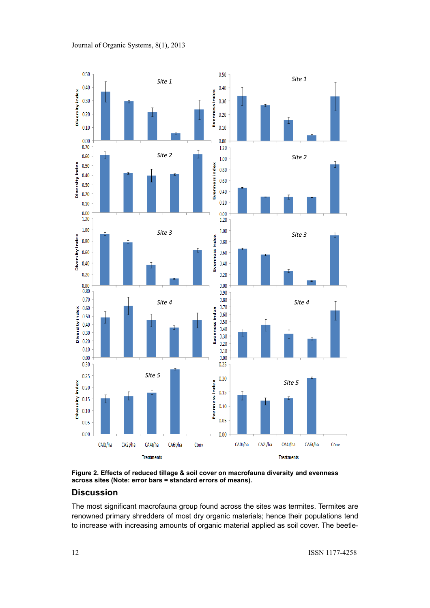



**Figure 2. Effects of reduced tillage & soil cover on macrofauna diversity and evenness across sites (Note: error bars = standard errors of means).**

## **Discussion**

The most significant macrofauna group found across the sites was termites. Termites are renowned primary shredders of most dry organic materials; hence their populations tend to increase with increasing amounts of organic material applied as soil cover. The beetle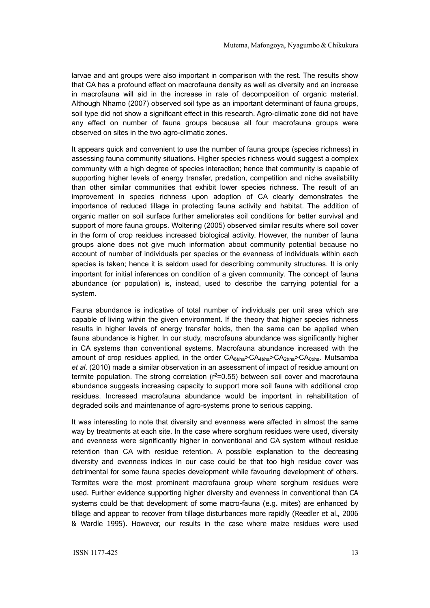larvae and ant groups were also important in comparison with the rest. The results show that CA has a profound effect on macrofauna density as well as diversity and an increase in macrofauna will aid in the increase in rate of decomposition of organic material. Although Nhamo (2007) observed soil type as an important determinant of fauna groups, soil type did not show a significant effect in this research. Agro-climatic zone did not have any effect on number of fauna groups because all four macrofauna groups were observed on sites in the two agro-climatic zones.

It appears quick and convenient to use the number of fauna groups (species richness) in assessing fauna community situations. Higher species richness would suggest a complex community with a high degree of species interaction; hence that community is capable of supporting higher levels of energy transfer, predation, competition and niche availability than other similar communities that exhibit lower species richness. The result of an improvement in species richness upon adoption of CA clearly demonstrates the importance of reduced tillage in protecting fauna activity and habitat. The addition of organic matter on soil surface further ameliorates soil conditions for better survival and support of more fauna groups. Woltering (2005) observed similar results where soil cover in the form of crop residues increased biological activity. However, the number of fauna groups alone does not give much information about community potential because no account of number of individuals per species or the evenness of individuals within each species is taken; hence it is seldom used for describing community structures. It is only important for initial inferences on condition of a given community. The concept of fauna abundance (or population) is, instead, used to describe the carrying potential for a system.

Fauna abundance is indicative of total number of individuals per unit area which are capable of living within the given environment. If the theory that higher species richness results in higher levels of energy transfer holds, then the same can be applied when fauna abundance is higher. In our study, macrofauna abundance was significantly higher in CA systems than conventional systems. Macrofauna abundance increased with the amount of crop residues applied, in the order  $CA_{6Vha} > CA_{4Vha} > CA_{2Vha} > CA_{0Vha}$ . Mutsamba *et al*. (2010) made a similar observation in an assessment of impact of residue amount on termite population. The strong correlation  $(r^2=0.55)$  between soil cover and macrofauna abundance suggests increasing capacity to support more soil fauna with additional crop residues. Increased macrofauna abundance would be important in rehabilitation of degraded soils and maintenance of agro-systems prone to serious capping.

It was interesting to note that diversity and evenness were affected in almost the same way by treatments at each site. In the case where sorghum residues were used, diversity and evenness were significantly higher in conventional and CA system without residue retention than CA with residue retention. A possible explanation to the decreasing diversity and evenness indices in our case could be that too high residue cover was detrimental for some fauna species development while favouring development of others. Termites were the most prominent macrofauna group where sorghum residues were used. Further evidence supporting higher diversity and evenness in conventional than CA systems could be that development of some macro-fauna (e.g. mites) are enhanced by tillage and appear to recover from tillage disturbances more rapidly (Reedler et al., 2006 & Wardle 1995). However, our results in the case where maize residues were used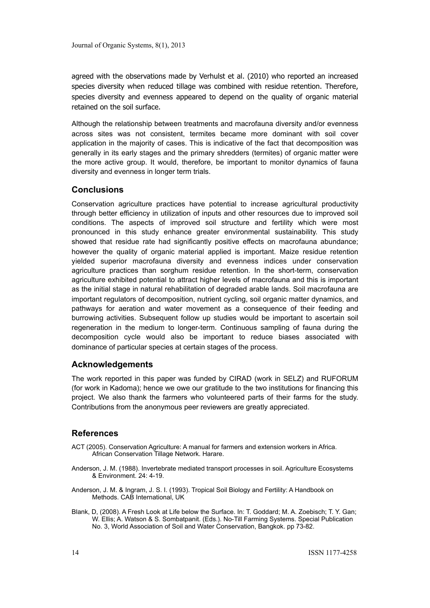agreed with the observations made by Verhulst et al. (2010) who reported an increased species diversity when reduced tillage was combined with residue retention. Therefore, species diversity and evenness appeared to depend on the quality of organic material retained on the soil surface.

Although the relationship between treatments and macrofauna diversity and/or evenness across sites was not consistent, termites became more dominant with soil cover application in the majority of cases. This is indicative of the fact that decomposition was generally in its early stages and the primary shredders (termites) of organic matter were the more active group. It would, therefore, be important to monitor dynamics of fauna diversity and evenness in longer term trials.

## **Conclusions**

Conservation agriculture practices have potential to increase agricultural productivity through better efficiency in utilization of inputs and other resources due to improved soil conditions. The aspects of improved soil structure and fertility which were most pronounced in this study enhance greater environmental sustainability. This study showed that residue rate had significantly positive effects on macrofauna abundance; however the quality of organic material applied is important. Maize residue retention yielded superior macrofauna diversity and evenness indices under conservation agriculture practices than sorghum residue retention. In the short-term, conservation agriculture exhibited potential to attract higher levels of macrofauna and this is important as the initial stage in natural rehabilitation of degraded arable lands. Soil macrofauna are important regulators of decomposition, nutrient cycling, soil organic matter dynamics, and pathways for aeration and water movement as a consequence of their feeding and burrowing activities. Subsequent follow up studies would be important to ascertain soil regeneration in the medium to longer-term. Continuous sampling of fauna during the decomposition cycle would also be important to reduce biases associated with dominance of particular species at certain stages of the process.

## **Acknowledgements**

The work reported in this paper was funded by CIRAD (work in SELZ) and RUFORUM (for work in Kadoma); hence we owe our gratitude to the two institutions for financing this project. We also thank the farmers who volunteered parts of their farms for the study. Contributions from the anonymous peer reviewers are greatly appreciated.

## **References**

- ACT (2005). Conservation Agriculture: A manual for farmers and extension workers in Africa. African Conservation Tillage Network. Harare.
- Anderson, J. M. (1988). Invertebrate mediated transport processes in soil. Agriculture Ecosystems & Environment. 24: 4-19.
- Anderson, J. M. & Ingram, J. S. I. (1993). Tropical Soil Biology and Fertility: A Handbook on Methods. CAB International, UK
- Blank, D, (2008). A Fresh Look at Life below the Surface. In: T. Goddard; M. A. Zoebisch; T. Y. Gan; W. Ellis; A. Watson & S. Sombatpanit. (Eds.). No-Till Farming Systems. Special Publication No. 3, World Association of Soil and Water Conservation, Bangkok. pp 73-82.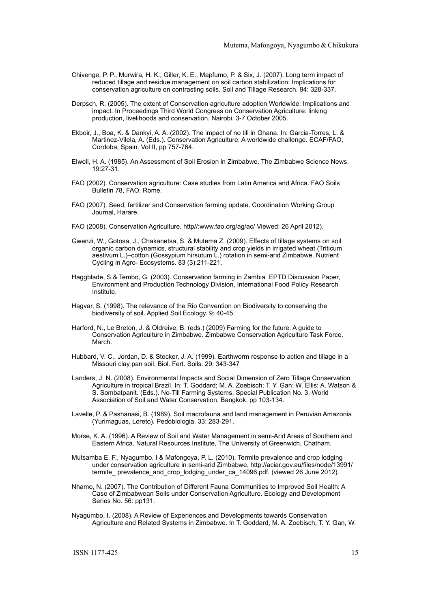- Chivenge, P. P., Murwira, H. K., Giller, K. E., Mapfumo, P. & Six, J. (2007). Long term impact of reduced tillage and residue management on soil carbon stabilization: Implications for conservation agriculture on contrasting soils. Soil and Tillage Research. 94: 328-337.
- Derpsch, R. (2005). The extent of Conservation agriculture adoption Worldwide: Implications and impact. In Proceedings Third World Congress on Conservation Agriculture: linking production, livelihoods and conservation. Nairobi. 3-7 October 2005.
- Ekboir, J., Boa, K. & Dankyi, A. A. (2002). The impact of no till in Ghana. In: Garcia-Torres, L. & Martinez-Vilela, A. (Eds.). Conservation Agriculture: A worldwide challenge. ECAF/FAO, Cordoba, Spain. Vol II, pp 757-764.
- Elwell, H. A. (1985). An Assessment of Soil Erosion in Zimbabwe. The Zimbabwe Science News. 19:27-31.
- FAO (2002). Conservation agriculture: Case studies from Latin America and Africa. FAO Soils Bulletin 78, FAO, Rome.
- FAO (2007). Seed, fertilizer and Conservation farming update. Coordination Working Group Journal, Harare.
- FAO (2008). Conservation Agriculture. http//:www.fao.org/ag/ac/ Viewed: 26 April 2012).
- Gwenzi, W., Gotosa, J., Chakanetsa, S. & Mutema Z. (2009). Effects of tillage systems on soil organic carbon dynamics, structural stability and crop yields in irrigated wheat (Triticum aestivum L.)–cotton (Gossypium hirsutum L.) rotation in semi-arid Zimbabwe. Nutrient Cycling in Agro- Ecosystems[. 83 \(3\)](http://www.springerlink.com/content/wl5204620p47/?p=83a82c5443ee4d2c92089b9ab16f70f4&pi=0):211-221.
- Haggblade, S & Tembo, G. (2003). Conservation farming in Zambia .EPTD Discussion Paper, Environment and Production Technology Division, International Food Policy Research Institute.
- Hagvar, S. (1998). The relevance of the Rio Convention on Biodiversity to conserving the biodiversity of soil. Applied Soil Ecology. 9: 40-45.
- Harford, N., Le Breton, J. & Oldreive, B. (eds.) (2009) Farming for the future: A guide to Conservation Agriculture in Zimbabwe. Zimbabwe Conservation Agriculture Task Force. March.
- Hubbard, V. C., Jordan, D. & Stecker, J. A. (1999). Earthworm response to action and tillage in a Missouri clay pan soil. Biol. Fert. Soils. 29: 343-347
- Landers, J. N. (2008). Environmental Impacts and Social Dimension of Zero Tillage Conservation Agriculture in tropical Brazil. In: T. Goddard; M. A. Zoebisch; T. Y. Gan; W. Ellis; A. Watson & S. Sombatpanit. (Eds.). No-Till Farming Systems. Special Publication No. 3, World Association of Soil and Water Conservation, Bangkok. pp 103-134.
- Lavelle, P. & Pashanasi, B. (1989). Soil macrofauna and land management in Peruvian Amazonia (Yurimaguas, Loreto). Pedobiologia. 33: 283-291.
- Morse, K. A. (1996). A Review of Soil and Water Management in semi-Arid Areas of Southern and Eastern Africa. Natural Resources Institute, The University of Greenwich, Chatham.
- Mutsamba E. F., Nyagumbo, I & Mafongoya, P. L. (2010). Termite prevalence and crop lodging under conservation agriculture in semi-arid Zimbabwe. [http://aciar.gov.au/files/node/13991/](http://livepage.apple.com/) termite\_prevalence\_and\_crop\_lodging\_under\_ca\_14096.pdf. (viewed 26 June 2012).
- Nhamo, N. (2007). The Contribution of Different Fauna Communities to Improved Soil Health: A Case of Zimbabwean Soils under Conservation Agriculture. Ecology and Development Series No. 56: pp131.
- Nyagumbo, I. (2008). A Review of Experiences and Developments towards Conservation Agriculture and Related Systems in Zimbabwe. In T. Goddard, M. A. Zoebisch, T. Y. Gan, W.